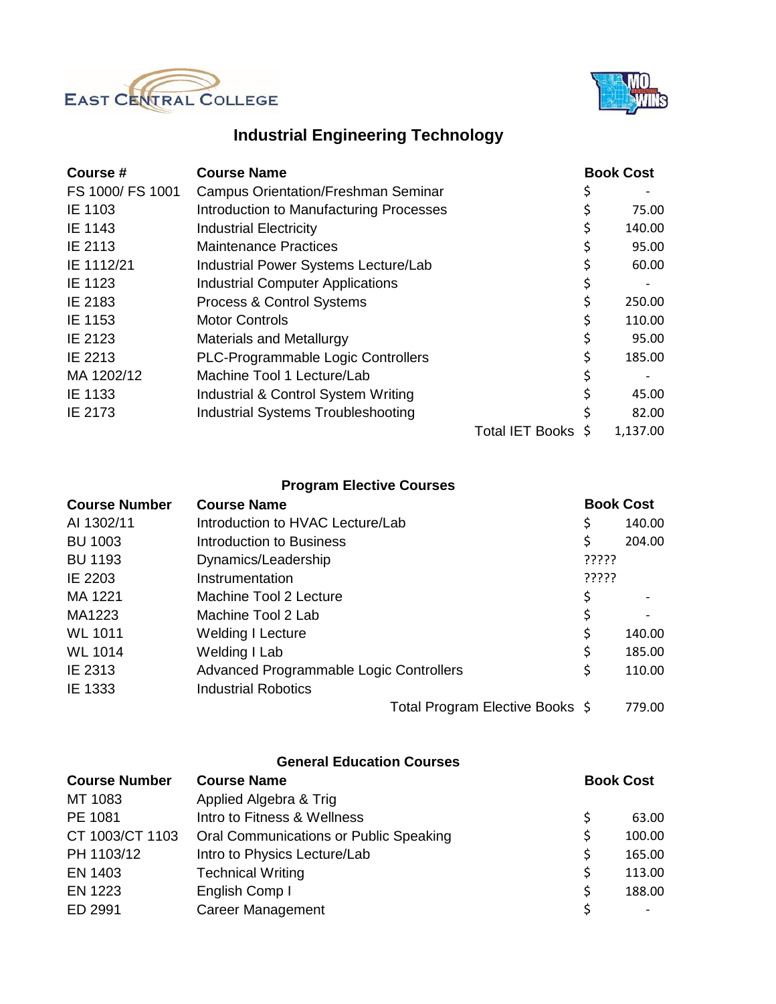



## **Industrial Engineering Technology**

| Course #         | <b>Course Name</b>                         |                        | <b>Book Cost</b> |
|------------------|--------------------------------------------|------------------------|------------------|
| FS 1000/ FS 1001 | <b>Campus Orientation/Freshman Seminar</b> |                        |                  |
| IE 1103          | Introduction to Manufacturing Processes    |                        | 75.00            |
| IE 1143          | <b>Industrial Electricity</b>              |                        | 140.00           |
| IE 2113          | <b>Maintenance Practices</b>               |                        | 95.00            |
| IE 1112/21       | Industrial Power Systems Lecture/Lab       |                        | 60.00            |
| IE 1123          | <b>Industrial Computer Applications</b>    |                        |                  |
| IE 2183          | Process & Control Systems                  |                        | 250.00           |
| IE 1153          | <b>Motor Controls</b>                      |                        | 110.00           |
| IE 2123          | <b>Materials and Metallurgy</b>            |                        | 95.00            |
| IE 2213          | PLC-Programmable Logic Controllers         |                        | 185.00           |
| MA 1202/12       | Machine Tool 1 Lecture/Lab                 |                        | \$               |
| IE 1133          | Industrial & Control System Writing        |                        | 45.00            |
| IE 2173          | <b>Industrial Systems Troubleshooting</b>  |                        | 82.00            |
|                  |                                            | <b>Total IET Books</b> | 1,137.00         |

## **Program Elective Courses**

| <b>Course Number</b> | <b>Course Name</b>                      | <b>Book Cost</b> |                              |
|----------------------|-----------------------------------------|------------------|------------------------------|
| AI 1302/11           | Introduction to HVAC Lecture/Lab        | \$               | 140.00                       |
| <b>BU 1003</b>       | <b>Introduction to Business</b>         | \$               | 204.00                       |
| <b>BU 1193</b>       | Dynamics/Leadership                     | ?????            |                              |
| IE 2203              | Instrumentation                         | ?????            |                              |
| MA 1221              | Machine Tool 2 Lecture                  |                  |                              |
| MA1223               | Machine Tool 2 Lab                      | \$               | $\qquad \qquad \blacksquare$ |
| <b>WL 1011</b>       | <b>Welding I Lecture</b>                | \$               | 140.00                       |
| <b>WL 1014</b>       | Welding I Lab                           | \$               | 185.00                       |
| IE 2313              | Advanced Programmable Logic Controllers | \$               | 110.00                       |
| IE 1333              | <b>Industrial Robotics</b>              |                  |                              |
|                      | Total Program Elective Books \$         |                  | 779.00                       |

## **General Education Courses**

| <b>Course Number</b> | <b>Course Name</b>                     | <b>Book Cost</b> |  |
|----------------------|----------------------------------------|------------------|--|
| MT 1083              | Applied Algebra & Trig                 |                  |  |
| PE 1081              | Intro to Fitness & Wellness            | 63.00            |  |
| CT 1003/CT 1103      | Oral Communications or Public Speaking | 100.00           |  |
| PH 1103/12           | Intro to Physics Lecture/Lab           | 165.00           |  |
| EN 1403              | <b>Technical Writing</b>               | 113.00           |  |
| EN 1223              | English Comp I                         | 188.00           |  |
| ED 2991              | <b>Career Management</b>               |                  |  |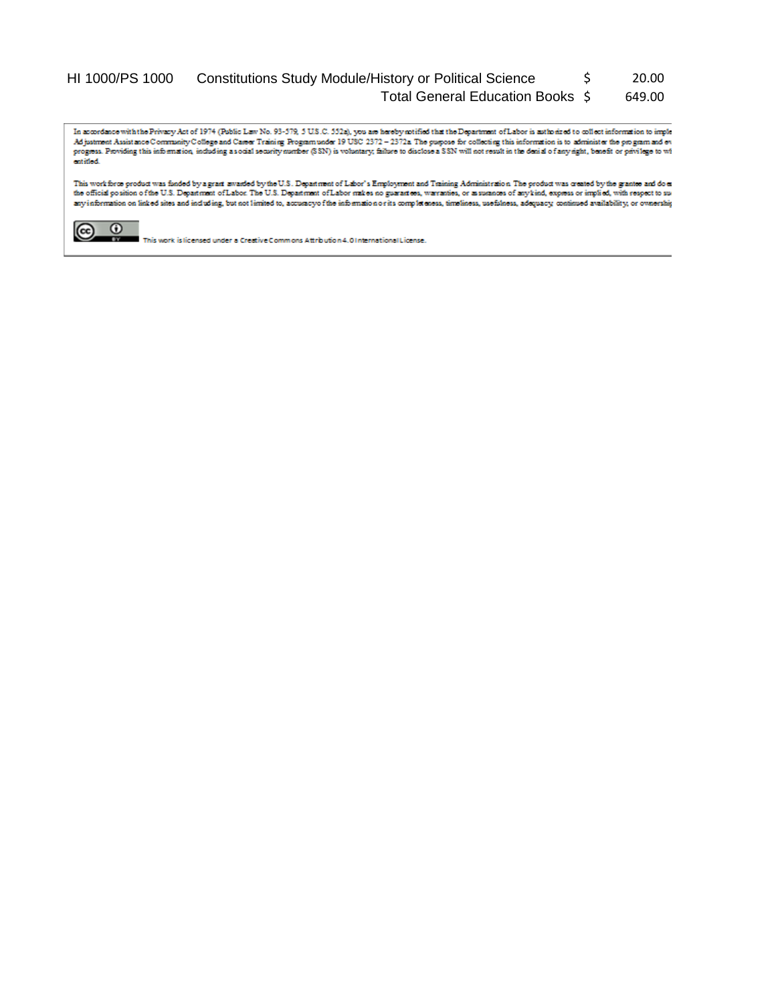## HI 1000/PS 1000 Constitutions Study Module/History or Political Science \$ 20.00 Total General Education Books \$ 649.00

In accordance with the Privacy Act of 1974 (Public Law No. 93-379, 5 U.S.C. 552a), you are hereby solified that the Department of Labor is authorized to collect information to implement Asistance Community College and Care catified.

This work force product was funded by a grant awarded by the U.S. Department of Labor's Employment and Training Administration. The product was created by the grantee and do es the official position of the U.S. Department of Labor. The U.S. Department of Labor makes no guarantees, warrantees, or assurances of any kind, express or implied, with respect to sur any information on linked sites and including, but not limited to, accuracyo fithe information or its completeness, timeliness, usefulness, adequacy, continued availability, or ovnership



This work is licensed under a Creative Commons Attribution 4.01 nternational License.